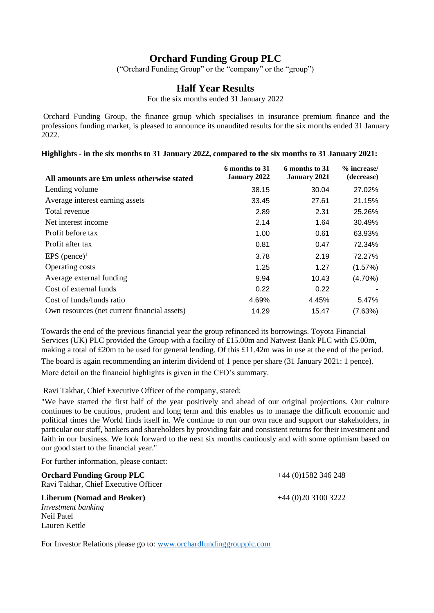## **Orchard Funding Group PLC**

("Orchard Funding Group" or the "company" or the "group")

### **Half Year Results**

For the six months ended 31 January 2022

Orchard Funding Group, the finance group which specialises in insurance premium finance and the professions funding market, is pleased to announce its unaudited results for the six months ended 31 January 2022.

**Highlights - in the six months to 31 January 2022, compared to the six months to 31 January 2021:**

| All amounts are £m unless otherwise stated   | 6 months to 31<br><b>January 2022</b> | 6 months to 31<br><b>January 2021</b> | $%$ increase/<br>(decrease) |
|----------------------------------------------|---------------------------------------|---------------------------------------|-----------------------------|
| Lending volume                               | 38.15                                 | 30.04                                 | 27.02%                      |
| Average interest earning assets              | 33.45                                 | 27.61                                 | 21.15%                      |
| Total revenue                                | 2.89                                  | 2.31                                  | 25.26%                      |
| Net interest income                          | 2.14                                  | 1.64                                  | 30.49%                      |
| Profit before tax                            | 1.00                                  | 0.61                                  | 63.93%                      |
| Profit after tax                             | 0.81                                  | 0.47                                  | 72.34%                      |
| EPS (pence) <sup><math>1</math></sup>        | 3.78                                  | 2.19                                  | 72.27%                      |
| Operating costs                              | 1.25                                  | 1.27                                  | (1.57%)                     |
| Average external funding                     | 9.94                                  | 10.43                                 | $(4.70\%)$                  |
| Cost of external funds                       | 0.22                                  | 0.22                                  |                             |
| Cost of funds/funds ratio                    | 4.69%                                 | 4.45%                                 | 5.47%                       |
| Own resources (net current financial assets) | 14.29                                 | 15.47                                 | (7.63%)                     |

Towards the end of the previous financial year the group refinanced its borrowings. Toyota Financial Services (UK) PLC provided the Group with a facility of £15.00m and Natwest Bank PLC with £5.00m, making a total of £20m to be used for general lending. Of this £11.42m was in use at the end of the period. The board is again recommending an interim dividend of 1 pence per share (31 January 2021: 1 pence). More detail on the financial highlights is given in the CFO's summary.

Ravi Takhar, Chief Executive Officer of the company, stated:

"We have started the first half of the year positively and ahead of our original projections. Our culture continues to be cautious, prudent and long term and this enables us to manage the difficult economic and political times the World finds itself in. We continue to run our own race and support our stakeholders, in particular our staff, bankers and shareholders by providing fair and consistent returns for their investment and faith in our business. We look forward to the next six months cautiously and with some optimism based on our good start to the financial year."

For further information, please contact:

**Orchard Funding Group PLC**  $+44(0)1582346248$ Ravi Takhar, Chief Executive Officer

**Liberum (Nomad and Broker)** +44 (0)20 3100 3222 *Investment banking*  Neil Patel Lauren Kettle

For Investor Relations please go to: [www.orchardfundinggroupplc.com](http://www.orchardfundinggroupplc.com/)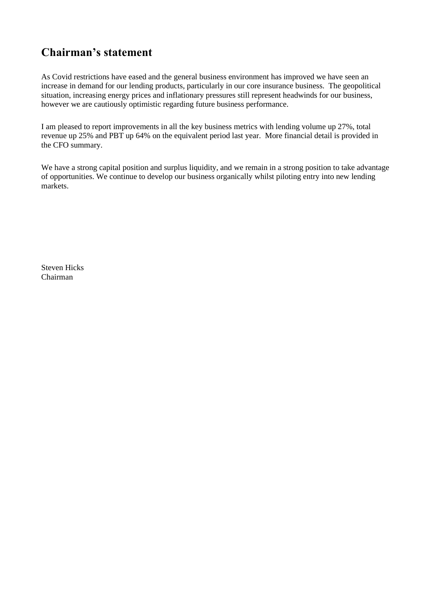# **Chairman's statement**

As Covid restrictions have eased and the general business environment has improved we have seen an increase in demand for our lending products, particularly in our core insurance business. The geopolitical situation, increasing energy prices and inflationary pressures still represent headwinds for our business, however we are cautiously optimistic regarding future business performance.

I am pleased to report improvements in all the key business metrics with lending volume up 27%, total revenue up 25% and PBT up 64% on the equivalent period last year. More financial detail is provided in the CFO summary.

We have a strong capital position and surplus liquidity, and we remain in a strong position to take advantage of opportunities. We continue to develop our business organically whilst piloting entry into new lending markets.

Steven Hicks Chairman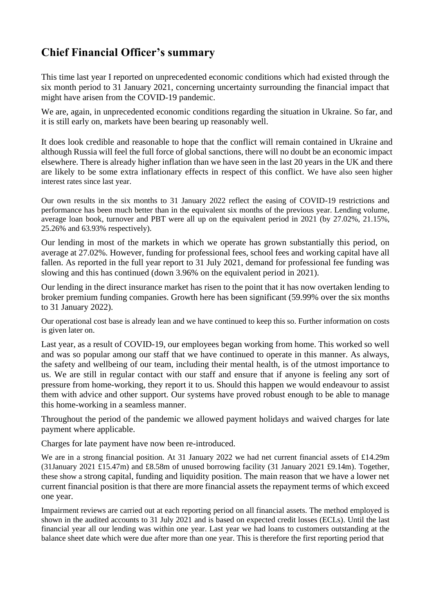# **Chief Financial Officer's summary**

This time last year I reported on unprecedented economic conditions which had existed through the six month period to 31 January 2021, concerning uncertainty surrounding the financial impact that might have arisen from the COVID-19 pandemic.

We are, again, in unprecedented economic conditions regarding the situation in Ukraine. So far, and it is still early on, markets have been bearing up reasonably well.

It does look credible and reasonable to hope that the conflict will remain contained in Ukraine and although Russia will feel the full force of global sanctions, there will no doubt be an economic impact elsewhere. There is already higher inflation than we have seen in the last 20 years in the UK and there are likely to be some extra inflationary effects in respect of this conflict. We have also seen higher interest rates since last year.

Our own results in the six months to 31 January 2022 reflect the easing of COVID-19 restrictions and performance has been much better than in the equivalent six months of the previous year. Lending volume, average loan book, turnover and PBT were all up on the equivalent period in 2021 (by 27.02%, 21.15%, 25.26% and 63.93% respectively).

Our lending in most of the markets in which we operate has grown substantially this period, on average at 27.02%. However, funding for professional fees, school fees and working capital have all fallen. As reported in the full year report to 31 July 2021, demand for professional fee funding was slowing and this has continued (down 3.96% on the equivalent period in 2021).

Our lending in the direct insurance market has risen to the point that it has now overtaken lending to broker premium funding companies. Growth here has been significant (59.99% over the six months to 31 January 2022).

Our operational cost base is already lean and we have continued to keep this so. Further information on costs is given later on.

Last year, as a result of COVID-19, our employees began working from home. This worked so well and was so popular among our staff that we have continued to operate in this manner. As always, the safety and wellbeing of our team, including their mental health, is of the utmost importance to us. We are still in regular contact with our staff and ensure that if anyone is feeling any sort of pressure from home-working, they report it to us. Should this happen we would endeavour to assist them with advice and other support. Our systems have proved robust enough to be able to manage this home-working in a seamless manner.

Throughout the period of the pandemic we allowed payment holidays and waived charges for late payment where applicable.

Charges for late payment have now been re-introduced.

We are in a strong financial position. At 31 January 2022 we had net current financial assets of £14.29m (31January 2021 £15.47m) and £8.58m of unused borrowing facility (31 January 2021 £9.14m). Together, these show a strong capital, funding and liquidity position. The main reason that we have a lower net current financial position is that there are more financial assets the repayment terms of which exceed one year.

Impairment reviews are carried out at each reporting period on all financial assets. The method employed is shown in the audited accounts to 31 July 2021 and is based on expected credit losses (ECLs). Until the last financial year all our lending was within one year. Last year we had loans to customers outstanding at the balance sheet date which were due after more than one year. This is therefore the first reporting period that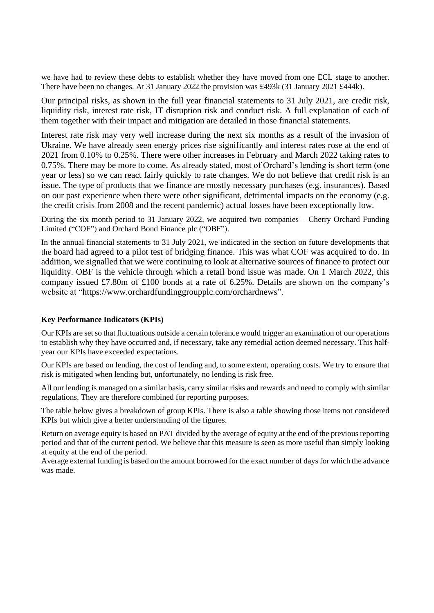we have had to review these debts to establish whether they have moved from one ECL stage to another. There have been no changes. At 31 January 2022 the provision was £493k (31 January 2021 £444k).

Our principal risks, as shown in the full year financial statements to 31 July 2021, are credit risk, liquidity risk, interest rate risk, IT disruption risk and conduct risk. A full explanation of each of them together with their impact and mitigation are detailed in those financial statements.

Interest rate risk may very well increase during the next six months as a result of the invasion of Ukraine. We have already seen energy prices rise significantly and interest rates rose at the end of 2021 from 0.10% to 0.25%. There were other increases in February and March 2022 taking rates to 0.75%. There may be more to come. As already stated, most of Orchard's lending is short term (one year or less) so we can react fairly quickly to rate changes. We do not believe that credit risk is an issue. The type of products that we finance are mostly necessary purchases (e.g. insurances). Based on our past experience when there were other significant, detrimental impacts on the economy (e.g. the credit crisis from 2008 and the recent pandemic) actual losses have been exceptionally low.

During the six month period to 31 January 2022, we acquired two companies – Cherry Orchard Funding Limited ("COF") and Orchard Bond Finance plc ("OBF").

In the annual financial statements to 31 July 2021, we indicated in the section on future developments that the board had agreed to a pilot test of bridging finance. This was what COF was acquired to do. In addition, we signalled that we were continuing to look at alternative sources of finance to protect our liquidity. OBF is the vehicle through which a retail bond issue was made. On 1 March 2022, this company issued £7.80m of £100 bonds at a rate of 6.25%. Details are shown on the company's website at "https://www.orchardfundinggroupplc.com/orchardnews".

#### **Key Performance Indicators (KPIs)**

Our KPIs are set so that fluctuations outside a certain tolerance would trigger an examination of our operations to establish why they have occurred and, if necessary, take any remedial action deemed necessary. This halfyear our KPIs have exceeded expectations.

Our KPIs are based on lending, the cost of lending and, to some extent, operating costs. We try to ensure that risk is mitigated when lending but, unfortunately, no lending is risk free.

All our lending is managed on a similar basis, carry similar risks and rewards and need to comply with similar regulations. They are therefore combined for reporting purposes.

The table below gives a breakdown of group KPIs. There is also a table showing those items not considered KPIs but which give a better understanding of the figures.

Return on average equity is based on PAT divided by the average of equity at the end of the previous reporting period and that of the current period. We believe that this measure is seen as more useful than simply looking at equity at the end of the period.

Average external funding is based on the amount borrowed for the exact number of days for which the advance was made.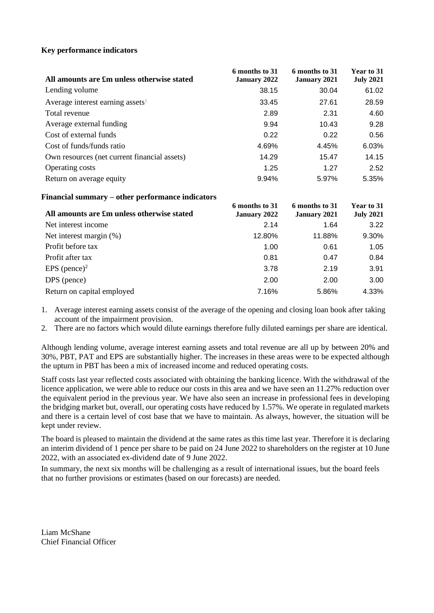#### **Key performance indicators**

| All amounts are £m unless otherwise stated   | 6 months to 31<br><b>January 2022</b> | 6 months to 31<br><b>January 2021</b> | Year to 31<br><b>July 2021</b> |
|----------------------------------------------|---------------------------------------|---------------------------------------|--------------------------------|
| Lending volume                               | 38.15                                 | 30.04                                 | 61.02                          |
| Average interest earning assets <sup>1</sup> | 33.45                                 | 27.61                                 | 28.59                          |
| Total revenue                                | 2.89                                  | 2.31                                  | 4.60                           |
| Average external funding                     | 9.94                                  | 10.43                                 | 9.28                           |
| Cost of external funds                       | 0.22                                  | 0.22                                  | 0.56                           |
| Cost of funds/funds ratio                    | 4.69%                                 | 4.45%                                 | 6.03%                          |
| Own resources (net current financial assets) | 14.29                                 | 15.47                                 | 14.15                          |
| <b>Operating costs</b>                       | 1.25                                  | 1.27                                  | 2.52                           |
| Return on average equity                     | 9.94%                                 | 5.97%                                 | 5.35%                          |

#### **Financial summary – other performance indicators**

| All amounts are £m unless otherwise stated | 6 months to 31<br><b>January 2022</b> | 6 months to 31<br><b>January 2021</b> | Year to 31<br><b>July 2021</b> |
|--------------------------------------------|---------------------------------------|---------------------------------------|--------------------------------|
| Net interest income                        | 2.14                                  | 1.64                                  | 3.22                           |
| Net interest margin $(\%)$                 | 12.80%                                | 11.88%                                | 9.30%                          |
| Profit before tax                          | 1.00                                  | 0.61                                  | 1.05                           |
| Profit after tax                           | 0.81                                  | 0.47                                  | 0.84                           |
| EPS (pence) <sup>2</sup>                   | 3.78                                  | 2.19                                  | 3.91                           |
| DPS (pence)                                | 2.00                                  | 2.00                                  | 3.00                           |
| Return on capital employed                 | 7.16%                                 | 5.86%                                 | 4.33%                          |

1. Average interest earning assets consist of the average of the opening and closing loan book after taking account of the impairment provision.

2. There are no factors which would dilute earnings therefore fully diluted earnings per share are identical.

Although lending volume, average interest earning assets and total revenue are all up by between 20% and 30%, PBT, PAT and EPS are substantially higher. The increases in these areas were to be expected although the upturn in PBT has been a mix of increased income and reduced operating costs.

Staff costs last year reflected costs associated with obtaining the banking licence. With the withdrawal of the licence application, we were able to reduce our costs in this area and we have seen an 11.27% reduction over the equivalent period in the previous year. We have also seen an increase in professional fees in developing the bridging market but, overall, our operating costs have reduced by 1.57%. We operate in regulated markets and there is a certain level of cost base that we have to maintain. As always, however, the situation will be kept under review.

The board is pleased to maintain the dividend at the same rates as this time last year. Therefore it is declaring an interim dividend of 1 pence per share to be paid on 24 June 2022 to shareholders on the register at 10 June 2022, with an associated ex-dividend date of 9 June 2022.

In summary, the next six months will be challenging as a result of international issues, but the board feels that no further provisions or estimates (based on our forecasts) are needed.

Liam McShane Chief Financial Officer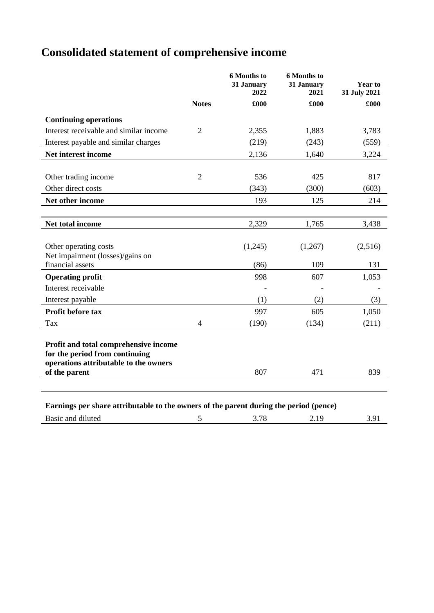# **Consolidated statement of comprehensive income**

|                                                                                                                                   |                | <b>6 Months to</b><br>31 January<br>2022 | <b>6 Months to</b><br>31 January<br>2021 | Year to<br>31 July 2021 |
|-----------------------------------------------------------------------------------------------------------------------------------|----------------|------------------------------------------|------------------------------------------|-------------------------|
|                                                                                                                                   | <b>Notes</b>   | £000                                     | £000                                     | £000                    |
| <b>Continuing operations</b>                                                                                                      |                |                                          |                                          |                         |
| Interest receivable and similar income                                                                                            | $\overline{2}$ | 2,355                                    | 1,883                                    | 3,783                   |
| Interest payable and similar charges                                                                                              |                | (219)                                    | (243)                                    | (559)                   |
| Net interest income                                                                                                               |                | 2,136                                    | 1,640                                    | 3,224                   |
|                                                                                                                                   |                |                                          |                                          |                         |
| Other trading income                                                                                                              | $\overline{2}$ | 536                                      | 425                                      | 817                     |
| Other direct costs                                                                                                                |                | (343)                                    | (300)                                    | (603)                   |
| Net other income                                                                                                                  |                | 193                                      | 125                                      | 214                     |
|                                                                                                                                   |                |                                          |                                          |                         |
| Net total income                                                                                                                  |                | 2,329                                    | 1,765                                    | 3,438                   |
|                                                                                                                                   |                |                                          |                                          |                         |
| Other operating costs                                                                                                             |                | (1,245)                                  | (1,267)                                  | (2,516)                 |
| Net impairment (losses)/gains on<br>financial assets                                                                              |                |                                          |                                          | 131                     |
|                                                                                                                                   |                | (86)                                     | 109                                      |                         |
| <b>Operating profit</b>                                                                                                           |                | 998                                      | 607                                      | 1,053                   |
| Interest receivable                                                                                                               |                |                                          |                                          |                         |
| Interest payable                                                                                                                  |                | (1)                                      | (2)                                      | (3)                     |
| <b>Profit before tax</b>                                                                                                          |                | 997                                      | 605                                      | 1,050                   |
| Tax                                                                                                                               | $\overline{4}$ | (190)                                    | (134)                                    | (211)                   |
| Profit and total comprehensive income<br>for the period from continuing<br>operations attributable to the owners<br>of the parent |                | 807                                      | 471                                      | 839                     |
|                                                                                                                                   |                |                                          |                                          |                         |
| Earnings per share attributable to the owners of the parent during the period (pence)                                             |                |                                          |                                          |                         |
| Basic and diluted                                                                                                                 | 5              | 3.78                                     | 2.19                                     | 3.91                    |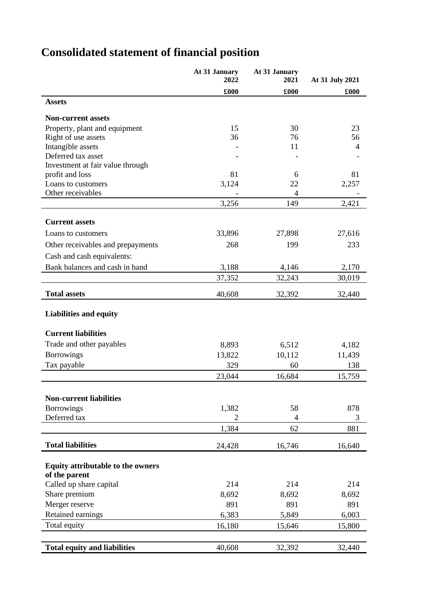|                                     | At 31 January<br>2022 | At 31 January<br>2021 | At 31 July 2021 |
|-------------------------------------|-----------------------|-----------------------|-----------------|
|                                     | £000                  | £000                  | £000            |
| <b>Assets</b>                       |                       |                       |                 |
| <b>Non-current assets</b>           |                       |                       |                 |
| Property, plant and equipment       | 15                    | 30                    | 23              |
| Right of use assets                 | 36                    | 76                    | 56              |
| Intangible assets                   |                       | 11                    | 4               |
| Deferred tax asset                  |                       |                       |                 |
| Investment at fair value through    |                       |                       |                 |
| profit and loss                     | 81                    | 6                     | 81              |
| Loans to customers                  | 3,124                 | 22                    | 2,257           |
| Other receivables                   |                       | 4                     |                 |
|                                     | 3,256                 | 149                   | 2,421           |
| <b>Current assets</b>               |                       |                       |                 |
| Loans to customers                  | 33,896                | 27,898                | 27,616          |
| Other receivables and prepayments   | 268                   | 199                   | 233             |
| Cash and cash equivalents:          |                       |                       |                 |
| Bank balances and cash in hand      | 3,188                 | 4,146                 | 2,170           |
|                                     | 37,352                | 32,243                | 30,019          |
| <b>Total assets</b>                 | 40,608                | 32,392                | 32,440          |
| <b>Liabilities and equity</b>       |                       |                       |                 |
| <b>Current liabilities</b>          |                       |                       |                 |
| Trade and other payables            | 8,893                 | 6,512                 | 4,182           |
| <b>Borrowings</b>                   | 13,822                | 10,112                | 11,439          |
| Tax payable                         | 329                   | 60                    | 138             |
|                                     | 23,044                | 16,684                | 15,759          |
|                                     |                       |                       |                 |
| <b>Non-current liabilities</b>      |                       |                       |                 |
| <b>Borrowings</b>                   | 1,382                 | 58                    | 878             |
| Deferred tax                        | 2                     | 4                     | 3               |
|                                     | 1,384                 | 62                    | 881             |
| <b>Total liabilities</b>            | 24,428                | 16,746                | 16,640          |
| Equity attributable to the owners   |                       |                       |                 |
| of the parent                       |                       |                       |                 |
| Called up share capital             | 214                   | 214                   | 214             |
| Share premium                       | 8,692                 | 8,692                 | 8,692           |
| Merger reserve                      | 891                   | 891                   | 891             |
| Retained earnings                   | 6,383                 | 5,849                 | 6,003           |
| Total equity                        | 16,180                | 15,646                | 15,800          |
|                                     |                       |                       |                 |
| <b>Total equity and liabilities</b> | 40,608                | 32,392                | 32,440          |

# **Consolidated statement of financial position**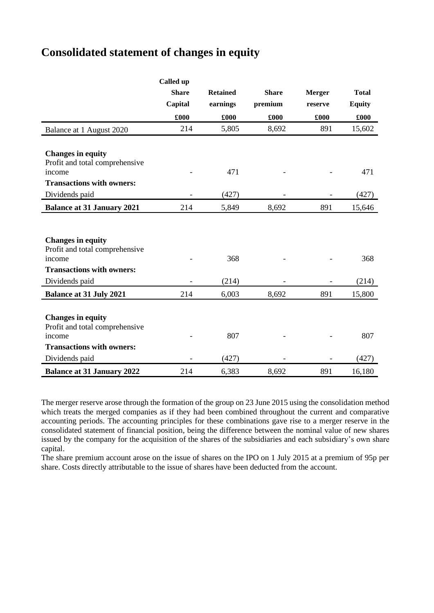## **Consolidated statement of changes in equity**

|                                   | Called up    |                 |              |               |               |
|-----------------------------------|--------------|-----------------|--------------|---------------|---------------|
|                                   | <b>Share</b> | <b>Retained</b> | <b>Share</b> | <b>Merger</b> | <b>Total</b>  |
|                                   | Capital      | earnings        | premium      | reserve       | <b>Equity</b> |
|                                   | £000         | £000            | £000         | £000          | £000          |
| Balance at 1 August 2020          | 214          | 5,805           | 8,692        | 891           | 15,602        |
|                                   |              |                 |              |               |               |
| <b>Changes in equity</b>          |              |                 |              |               |               |
| Profit and total comprehensive    |              |                 |              |               |               |
| income                            |              | 471             |              |               | 471           |
| <b>Transactions with owners:</b>  |              |                 |              |               |               |
| Dividends paid                    |              | (427)           |              |               | (427)         |
| <b>Balance at 31 January 2021</b> | 214          | 5,849           | 8,692        | 891           | 15,646        |
|                                   |              |                 |              |               |               |
|                                   |              |                 |              |               |               |
| <b>Changes in equity</b>          |              |                 |              |               |               |
| Profit and total comprehensive    |              |                 |              |               |               |
| income                            |              | 368             |              |               | 368           |
| <b>Transactions with owners:</b>  |              |                 |              |               |               |
| Dividends paid                    |              | (214)           |              |               | (214)         |
| <b>Balance at 31 July 2021</b>    | 214          | 6,003           | 8,692        | 891           | 15,800        |
|                                   |              |                 |              |               |               |
| <b>Changes in equity</b>          |              |                 |              |               |               |
| Profit and total comprehensive    |              |                 |              |               |               |
| income                            |              | 807             |              |               | 807           |
| <b>Transactions with owners:</b>  |              |                 |              |               |               |
| Dividends paid                    |              | (427)           |              |               | (427)         |
| <b>Balance at 31 January 2022</b> | 214          | 6,383           | 8,692        | 891           | 16,180        |

The merger reserve arose through the formation of the group on 23 June 2015 using the consolidation method which treats the merged companies as if they had been combined throughout the current and comparative accounting periods. The accounting principles for these combinations gave rise to a merger reserve in the consolidated statement of financial position, being the difference between the nominal value of new shares issued by the company for the acquisition of the shares of the subsidiaries and each subsidiary's own share capital.

The share premium account arose on the issue of shares on the IPO on 1 July 2015 at a premium of 95p per share. Costs directly attributable to the issue of shares have been deducted from the account.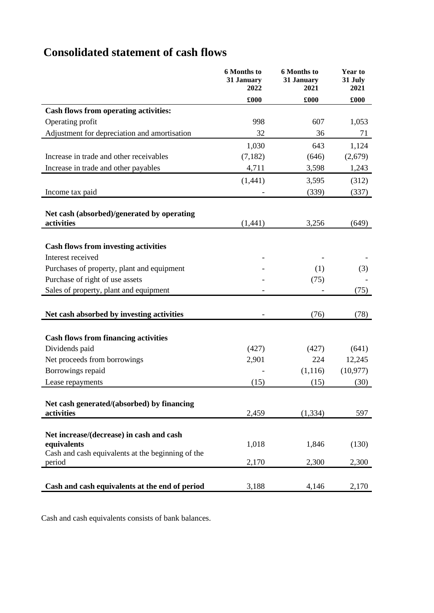# **Consolidated statement of cash flows**

|                                                         | 6 Months to<br>31 January<br>2022 | 6 Months to<br>31 January<br>2021 | Year to<br>31 July<br>2021 |
|---------------------------------------------------------|-----------------------------------|-----------------------------------|----------------------------|
|                                                         | £000                              | £000                              | £000                       |
| <b>Cash flows from operating activities:</b>            |                                   |                                   |                            |
| Operating profit                                        | 998                               | 607                               | 1,053                      |
| Adjustment for depreciation and amortisation            | 32                                | 36                                | 71                         |
|                                                         | 1,030                             | 643                               | 1,124                      |
| Increase in trade and other receivables                 | (7,182)                           | (646)                             | (2,679)                    |
| Increase in trade and other payables                    | 4,711                             | 3,598                             | 1,243                      |
|                                                         | (1, 441)                          | 3,595                             | (312)                      |
| Income tax paid                                         |                                   | (339)                             | (337)                      |
|                                                         |                                   |                                   |                            |
| Net cash (absorbed)/generated by operating              |                                   |                                   |                            |
| activities                                              | (1,441)                           | 3,256                             | (649)                      |
|                                                         |                                   |                                   |                            |
| <b>Cash flows from investing activities</b>             |                                   |                                   |                            |
| Interest received                                       |                                   |                                   |                            |
| Purchases of property, plant and equipment              |                                   | (1)                               | (3)                        |
| Purchase of right of use assets                         |                                   | (75)                              |                            |
| Sales of property, plant and equipment                  |                                   |                                   | (75)                       |
|                                                         |                                   |                                   |                            |
| Net cash absorbed by investing activities               |                                   | (76)                              | (78)                       |
|                                                         |                                   |                                   |                            |
| <b>Cash flows from financing activities</b>             |                                   |                                   |                            |
| Dividends paid                                          | (427)                             | (427)                             | (641)                      |
| Net proceeds from borrowings                            | 2,901                             | 224                               | 12,245                     |
| Borrowings repaid                                       |                                   | (1,116)                           | (10, 977)                  |
| Lease repayments                                        | (15)                              | (15)                              | (30)                       |
|                                                         |                                   |                                   |                            |
| Net cash generated/(absorbed) by financing              |                                   |                                   |                            |
| activities                                              | 2,459                             | (1, 334)                          | 597                        |
|                                                         |                                   |                                   |                            |
| Net increase/(decrease) in cash and cash<br>equivalents | 1,018                             | 1,846                             | (130)                      |
| Cash and cash equivalents at the beginning of the       |                                   |                                   |                            |
| period                                                  | 2,170                             | 2,300                             | 2,300                      |
|                                                         |                                   |                                   |                            |
| Cash and cash equivalents at the end of period          | 3,188                             | 4,146                             | 2,170                      |

Cash and cash equivalents consists of bank balances.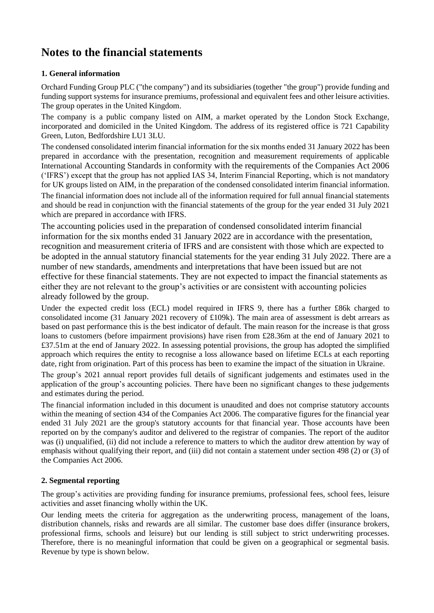# **Notes to the financial statements**

### **1. General information**

Orchard Funding Group PLC ("the company") and its subsidiaries (together "the group") provide funding and funding support systems for insurance premiums, professional and equivalent fees and other leisure activities. The group operates in the United Kingdom.

The company is a public company listed on AIM, a market operated by the London Stock Exchange, incorporated and domiciled in the United Kingdom. The address of its registered office is 721 Capability Green, Luton, Bedfordshire LU1 3LU.

The condensed consolidated interim financial information for the six months ended 31 January 2022 has been prepared in accordance with the presentation, recognition and measurement requirements of applicable International Accounting Standards in conformity with the requirements of the Companies Act 2006 ('IFRS') except that the group has not applied IAS 34, Interim Financial Reporting, which is not mandatory for UK groups listed on AIM, in the preparation of the condensed consolidated interim financial information.

The financial information does not include all of the information required for full annual financial statements and should be read in conjunction with the financial statements of the group for the year ended 31 July 2021 which are prepared in accordance with IFRS.

The accounting policies used in the preparation of condensed consolidated interim financial information for the six months ended 31 January 2022 are in accordance with the presentation, recognition and measurement criteria of IFRS and are consistent with those which are expected to be adopted in the annual statutory financial statements for the year ending 31 July 2022. There are a number of new standards, amendments and interpretations that have been issued but are not effective for these financial statements. They are not expected to impact the financial statements as either they are not relevant to the group's activities or are consistent with accounting policies already followed by the group.

Under the expected credit loss (ECL) model required in IFRS 9, there has a further £86k charged to consolidated income (31 January 2021 recovery of £109k). The main area of assessment is debt arrears as based on past performance this is the best indicator of default. The main reason for the increase is that gross loans to customers (before impairment provisions) have risen from £28.36m at the end of January 2021 to £37.51m at the end of January 2022. In assessing potential provisions, the group has adopted the simplified approach which requires the entity to recognise a loss allowance based on lifetime ECLs at each reporting date, right from origination. Part of this process has been to examine the impact of the situation in Ukraine.

The group's 2021 annual report provides full details of significant judgements and estimates used in the application of the group's accounting policies. There have been no significant changes to these judgements and estimates during the period.

The financial information included in this document is unaudited and does not comprise statutory accounts within the meaning of section 434 of the Companies Act 2006. The comparative figures for the financial year ended 31 July 2021 are the group's statutory accounts for that financial year. Those accounts have been reported on by the company's auditor and delivered to the registrar of companies. The report of the auditor was (i) unqualified, (ii) did not include a reference to matters to which the auditor drew attention by way of emphasis without qualifying their report, and (iii) did not contain a statement under section 498 (2) or (3) of the Companies Act 2006.

### **2. Segmental reporting**

The group's activities are providing funding for insurance premiums, professional fees, school fees, leisure activities and asset financing wholly within the UK.

Our lending meets the criteria for aggregation as the underwriting process, management of the loans, distribution channels, risks and rewards are all similar. The customer base does differ (insurance brokers, professional firms, schools and leisure) but our lending is still subject to strict underwriting processes. Therefore, there is no meaningful information that could be given on a geographical or segmental basis. Revenue by type is shown below.